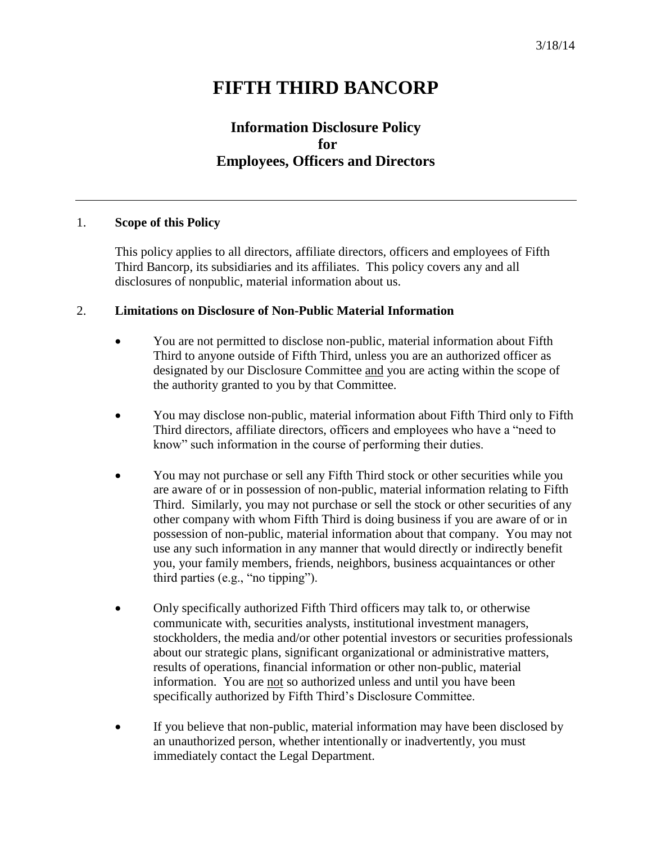# **FIFTH THIRD BANCORP**

## **Information Disclosure Policy for Employees, Officers and Directors**

#### 1. **Scope of this Policy**

This policy applies to all directors, affiliate directors, officers and employees of Fifth Third Bancorp, its subsidiaries and its affiliates. This policy covers any and all disclosures of nonpublic, material information about us.

#### 2. **Limitations on Disclosure of Non-Public Material Information**

- You are not permitted to disclose non-public, material information about Fifth Third to anyone outside of Fifth Third, unless you are an authorized officer as designated by our Disclosure Committee and you are acting within the scope of the authority granted to you by that Committee.
- You may disclose non-public, material information about Fifth Third only to Fifth Third directors, affiliate directors, officers and employees who have a "need to know" such information in the course of performing their duties.
- You may not purchase or sell any Fifth Third stock or other securities while you are aware of or in possession of non-public, material information relating to Fifth Third. Similarly, you may not purchase or sell the stock or other securities of any other company with whom Fifth Third is doing business if you are aware of or in possession of non-public, material information about that company. You may not use any such information in any manner that would directly or indirectly benefit you, your family members, friends, neighbors, business acquaintances or other third parties (e.g., "no tipping").
- Only specifically authorized Fifth Third officers may talk to, or otherwise communicate with, securities analysts, institutional investment managers, stockholders, the media and/or other potential investors or securities professionals about our strategic plans, significant organizational or administrative matters, results of operations, financial information or other non-public, material information. You are not so authorized unless and until you have been specifically authorized by Fifth Third's Disclosure Committee.
- If you believe that non-public, material information may have been disclosed by an unauthorized person, whether intentionally or inadvertently, you must immediately contact the Legal Department.